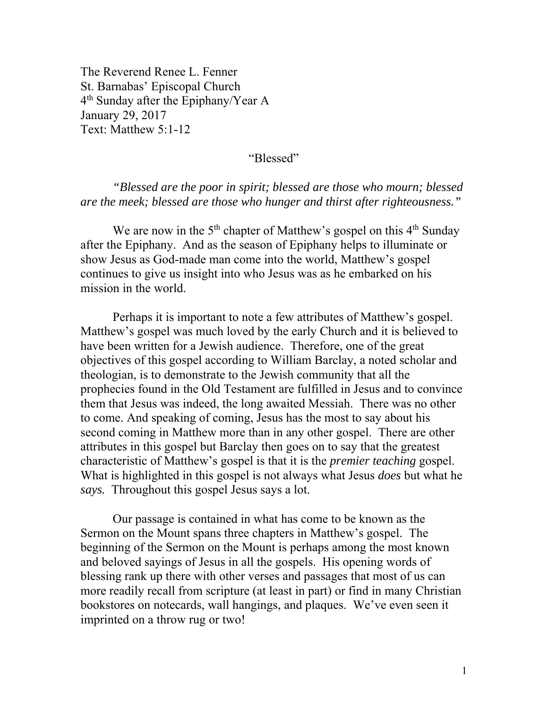The Reverend Renee L. Fenner St. Barnabas' Episcopal Church 4<sup>th</sup> Sunday after the Epiphany/Year A January 29, 2017 Text: Matthew 5:1-12

"Blessed"

*"Blessed are the poor in spirit; blessed are those who mourn; blessed are the meek; blessed are those who hunger and thirst after righteousness."* 

We are now in the  $5<sup>th</sup>$  chapter of Matthew's gospel on this  $4<sup>th</sup>$  Sunday after the Epiphany. And as the season of Epiphany helps to illuminate or show Jesus as God-made man come into the world, Matthew's gospel continues to give us insight into who Jesus was as he embarked on his mission in the world.

Perhaps it is important to note a few attributes of Matthew's gospel. Matthew's gospel was much loved by the early Church and it is believed to have been written for a Jewish audience. Therefore, one of the great objectives of this gospel according to William Barclay, a noted scholar and theologian, is to demonstrate to the Jewish community that all the prophecies found in the Old Testament are fulfilled in Jesus and to convince them that Jesus was indeed, the long awaited Messiah. There was no other to come. And speaking of coming, Jesus has the most to say about his second coming in Matthew more than in any other gospel. There are other attributes in this gospel but Barclay then goes on to say that the greatest characteristic of Matthew's gospel is that it is the *premier teaching* gospel. What is highlighted in this gospel is not always what Jesus *does* but what he *says.* Throughout this gospel Jesus says a lot.

Our passage is contained in what has come to be known as the Sermon on the Mount spans three chapters in Matthew's gospel. The beginning of the Sermon on the Mount is perhaps among the most known and beloved sayings of Jesus in all the gospels. His opening words of blessing rank up there with other verses and passages that most of us can more readily recall from scripture (at least in part) or find in many Christian bookstores on notecards, wall hangings, and plaques. We've even seen it imprinted on a throw rug or two!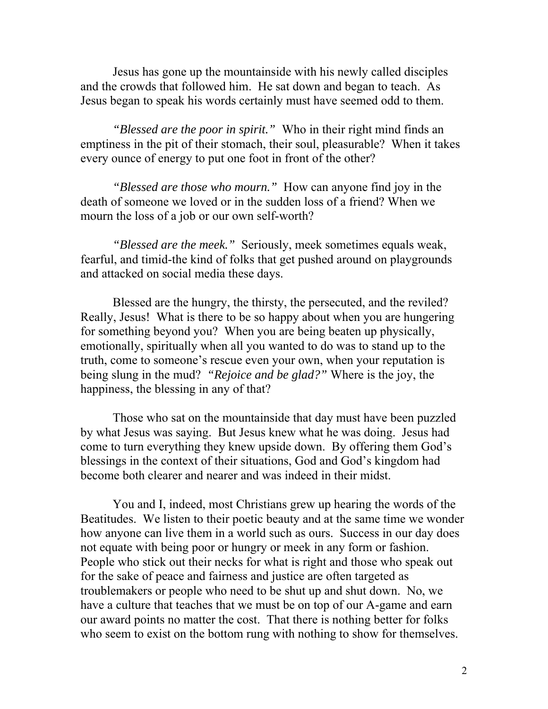Jesus has gone up the mountainside with his newly called disciples and the crowds that followed him. He sat down and began to teach. As Jesus began to speak his words certainly must have seemed odd to them.

*"Blessed are the poor in spirit."* Who in their right mind finds an emptiness in the pit of their stomach, their soul, pleasurable? When it takes every ounce of energy to put one foot in front of the other?

*"Blessed are those who mourn."* How can anyone find joy in the death of someone we loved or in the sudden loss of a friend? When we mourn the loss of a job or our own self-worth?

*"Blessed are the meek."* Seriously, meek sometimes equals weak, fearful, and timid-the kind of folks that get pushed around on playgrounds and attacked on social media these days.

Blessed are the hungry, the thirsty, the persecuted, and the reviled? Really, Jesus! What is there to be so happy about when you are hungering for something beyond you? When you are being beaten up physically, emotionally, spiritually when all you wanted to do was to stand up to the truth, come to someone's rescue even your own, when your reputation is being slung in the mud? *"Rejoice and be glad?"* Where is the joy, the happiness, the blessing in any of that?

Those who sat on the mountainside that day must have been puzzled by what Jesus was saying. But Jesus knew what he was doing. Jesus had come to turn everything they knew upside down. By offering them God's blessings in the context of their situations, God and God's kingdom had become both clearer and nearer and was indeed in their midst.

You and I, indeed, most Christians grew up hearing the words of the Beatitudes. We listen to their poetic beauty and at the same time we wonder how anyone can live them in a world such as ours. Success in our day does not equate with being poor or hungry or meek in any form or fashion. People who stick out their necks for what is right and those who speak out for the sake of peace and fairness and justice are often targeted as troublemakers or people who need to be shut up and shut down. No, we have a culture that teaches that we must be on top of our A-game and earn our award points no matter the cost. That there is nothing better for folks who seem to exist on the bottom rung with nothing to show for themselves.